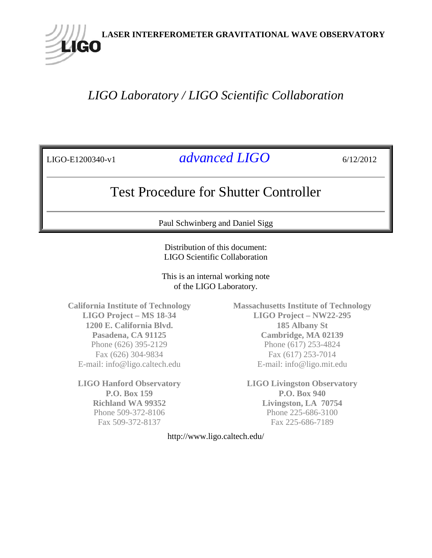

# *LIGO Laboratory / LIGO Scientific Collaboration*

LIGO-E1200340-v1 *advanced LIGO* 6/12/2012

# Test Procedure for Shutter Controller

Paul Schwinberg and Daniel Sigg

Distribution of this document: LIGO Scientific Collaboration

This is an internal working note of the LIGO Laboratory.

**California Institute of Technology LIGO Project – MS 18-34 1200 E. California Blvd. Pasadena, CA 91125** Phone (626) 395-2129 Fax (626) 304-9834 E-mail: info@ligo.caltech.edu

**LIGO Hanford Observatory P.O. Box 159 Richland WA 99352** Phone 509-372-8106 Fax 509-372-8137

**Massachusetts Institute of Technology LIGO Project – NW22-295 185 Albany St Cambridge, MA 02139** Phone (617) 253-4824 Fax (617) 253-7014 E-mail: info@ligo.mit.edu

**LIGO Livingston Observatory P.O. Box 940 Livingston, LA 70754** Phone 225-686-3100 Fax 225-686-7189

http://www.ligo.caltech.edu/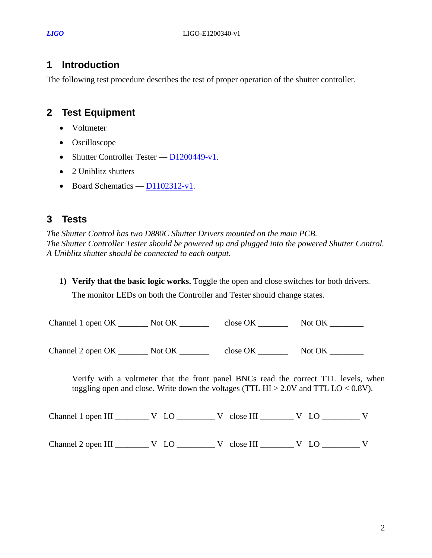#### **1 Introduction**

The following test procedure describes the test of proper operation of the shutter controller.

## **2 Test Equipment**

- Voltmeter
- Oscilloscope
- Shutter Controller Tester  $D1200449-v1$ .
- 2 Uniblitz shutters
- Board Schematics  $D1102312-v1$ .

### **3 Tests**

*The Shutter Control has two D880C Shutter Drivers mounted on the main PCB. The Shutter Controller Tester should be powered up and plugged into the powered Shutter Control. A Uniblitz shutter should be connected to each output.*

**1) Verify that the basic logic works.** Toggle the open and close switches for both drivers.

The monitor LEDs on both the Controller and Tester should change states.

| Channel 1 open OK _________ Not OK _______                                                      |  |                                                                                                                                                                                 |
|-------------------------------------------------------------------------------------------------|--|---------------------------------------------------------------------------------------------------------------------------------------------------------------------------------|
| Channel 2 open OK __________ Not OK _____________ close OK _________________ Not OK ___________ |  |                                                                                                                                                                                 |
|                                                                                                 |  | Verify with a voltmeter that the front panel BNCs read the correct TTL levels, when<br>toggling open and close. Write down the voltages (TTL HI $> 2.0V$ and TTL LO $< 0.8V$ ). |
|                                                                                                 |  |                                                                                                                                                                                 |
|                                                                                                 |  |                                                                                                                                                                                 |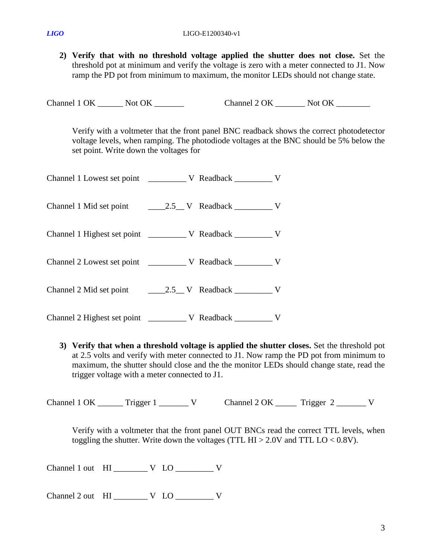**2) Verify that with no threshold voltage applied the shutter does not close.** Set the threshold pot at minimum and verify the voltage is zero with a meter connected to J1. Now ramp the PD pot from minimum to maximum, the monitor LEDs should not change state.

Channel 1 OK \_\_\_\_\_\_\_ Not OK \_\_\_\_\_\_\_\_ Channel 2 OK \_\_\_\_\_\_\_ Not OK \_\_\_\_\_\_\_\_

Verify with a voltmeter that the front panel BNC readback shows the correct photodetector voltage levels, when ramping. The photodiode voltages at the BNC should be 5% below the set point. Write down the voltages for

| Channel 2 Highest set point |  | V |
|-----------------------------|--|---|

**3) Verify that when a threshold voltage is applied the shutter closes.** Set the threshold pot at 2.5 volts and verify with meter connected to J1. Now ramp the PD pot from minimum to maximum, the shutter should close and the the monitor LEDs should change state, read the trigger voltage with a meter connected to J1.

Channel 1 OK \_\_\_\_\_\_\_ Trigger 1 \_\_\_\_\_\_\_ V Channel 2 OK \_\_\_\_\_\_ Trigger 2 \_\_\_\_\_\_\_ V

Verify with a voltmeter that the front panel OUT BNCs read the correct TTL levels, when toggling the shutter. Write down the voltages (TTL  $HI > 2.0V$  and TTL  $LO < 0.8V$ ).

Channel 1 out  $HI$  \_\_\_\_\_\_\_\_\_ V LO \_\_\_\_\_\_\_\_\_ V

Channel 2 out HI W LO W